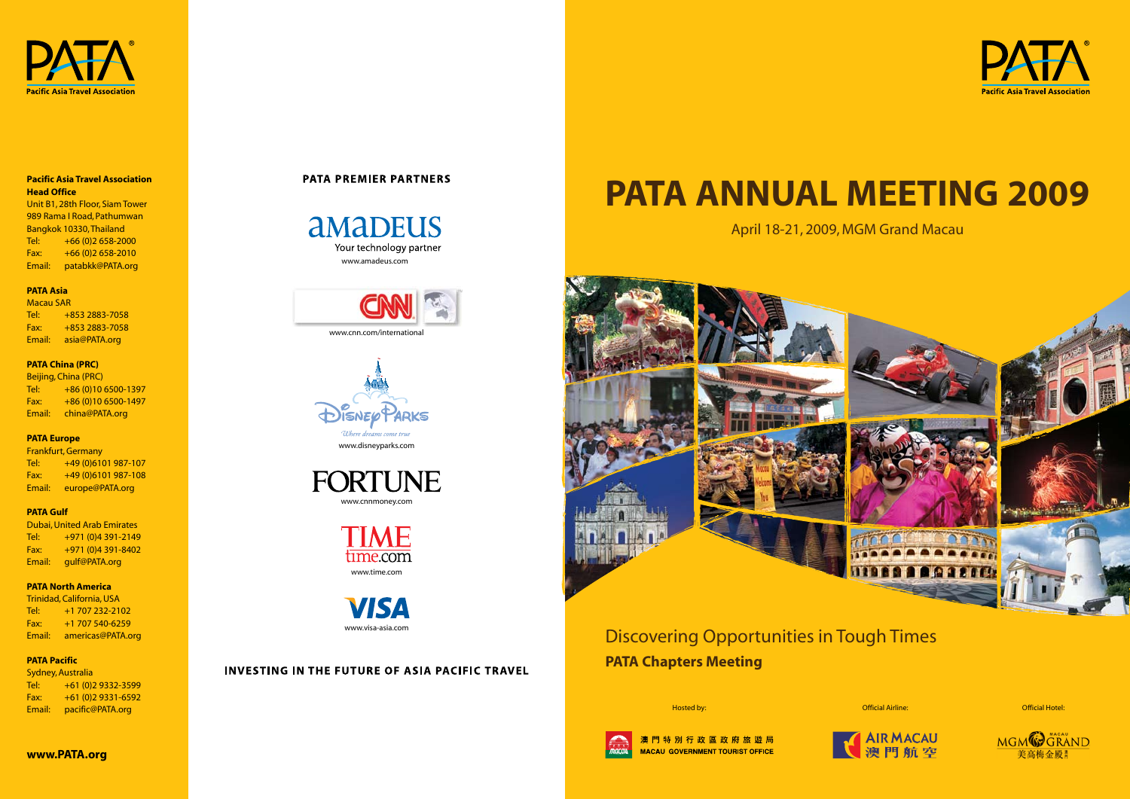

#### **Pacific Asia Travel Association Head Office**

Unit B1, 28th Floor, Siam Tower 989 Rama I Road, Pathumwan Bangkok 10330, Thailand Tel: +66 (0)2 658-2000 Fax: +66 (0)2 658-2010 Email: patabkk@PATA.org

#### **PATA Asia**

Macau SAR

Tel: +853 2883-7058 Fax: +853 2883-7058 Email: asia@PATA.org

#### **PATA China (PRC)**

Beijing, China (PRC) Tel: +86 (0)10 6500-1397 Fax: +86 (0)10 6500-1497 Email: china@PATA.org

#### **PATA Europe**

aMADEUS Your technology partner www.amadeus.com

Frankfurt, Germany Tel: +49 (0)6101 987-107 Fax: +49 (0)6101 987-108 Email: europe@PATA.org

> ME time.com www.time.com

#### **PATA Gulf**

Dubai, United Arab Emirates Tel: +971 (0)4 391-2149 Fax: +971 (0)4 391-8402 Email: gulf@PATA.org

### **PATA North America**

Trinidad, California, USA Tel: +1 707 232-2102 Fax: +1 707 540-6259 Email: americas@PATA.org

#### **PATA Pacific**

Sydney, Australia Tel: +61 (0)2 9332-3599 Fax: +61 (0)2 9331-6592 Email: pacific@PATA.org

## **PATA PREMIER PARTNERS**





## INVESTING IN THE FUTURE OF ASIA PACIFIC TRAVEL







# **PATA ANNUAL MEETING 2009**

April 18-21, 2009, MGM Grand Macau



## Discovering Opportunities in Tough Times **PATA Chapters Meeting**





Hosted by: Official Airline: Official Hotel: